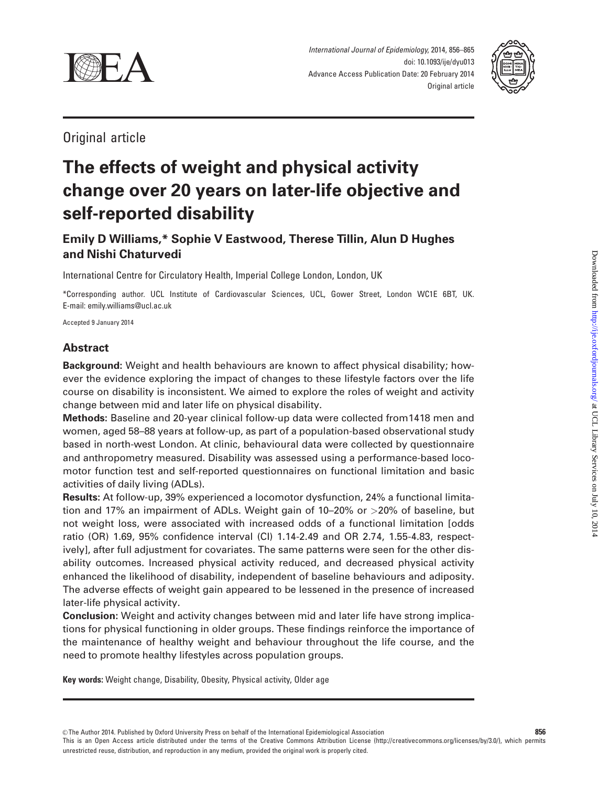

International Journal of Epidemiology, 2014, 856–865 doi: 10.1093/ije/dyu013 Advance Access Publication Date: 20 February 2014 Original article



Original article

# The effects of weight and physical activity change over 20 years on later-life objective and self-reported disability

# Emily D Williams,\* Sophie V Eastwood, Therese Tillin, Alun D Hughes and Nishi Chaturvedi

International Centre for Circulatory Health, Imperial College London, London, UK

\*Corresponding author. UCL Institute of Cardiovascular Sciences, UCL, Gower Street, London WC1E 6BT, UK. E-mail: emily.williams@ucl.ac.uk

Accepted 9 January 2014

# Abstract

Background: Weight and health behaviours are known to affect physical disability; however the evidence exploring the impact of changes to these lifestyle factors over the life course on disability is inconsistent. We aimed to explore the roles of weight and activity change between mid and later life on physical disability.

Methods: Baseline and 20-year clinical follow-up data were collected from1418 men and women, aged 58–88 years at follow-up, as part of a population-based observational study based in north-west London. At clinic, behavioural data were collected by questionnaire and anthropometry measured. Disability was assessed using a performance-based locomotor function test and self-reported questionnaires on functional limitation and basic activities of daily living (ADLs).

Results: At follow-up, 39% experienced a locomotor dysfunction, 24% a functional limitation and 17% an impairment of ADLs. Weight gain of 10–20% or >20% of baseline, but not weight loss, were associated with increased odds of a functional limitation [odds ratio (OR) 1.69, 95% confidence interval (CI) 1.14-2.49 and OR 2.74, 1.55-4.83, respectively], after full adjustment for covariates. The same patterns were seen for the other disability outcomes. Increased physical activity reduced, and decreased physical activity enhanced the likelihood of disability, independent of baseline behaviours and adiposity. The adverse effects of weight gain appeared to be lessened in the presence of increased later-life physical activity.

Conclusion: Weight and activity changes between mid and later life have strong implications for physical functioning in older groups. These findings reinforce the importance of the maintenance of healthy weight and behaviour throughout the life course, and the need to promote healthy lifestyles across population groups.

Key words: Weight change, Disability, Obesity, Physical activity, Older age

This is an Open Access article distributed under the terms of the Creative Commons Attribution License (http://creativecommons.org/licenses/by/3.0/), which permits unrestricted reuse, distribution, and reproduction in any medium, provided the original work is properly cited.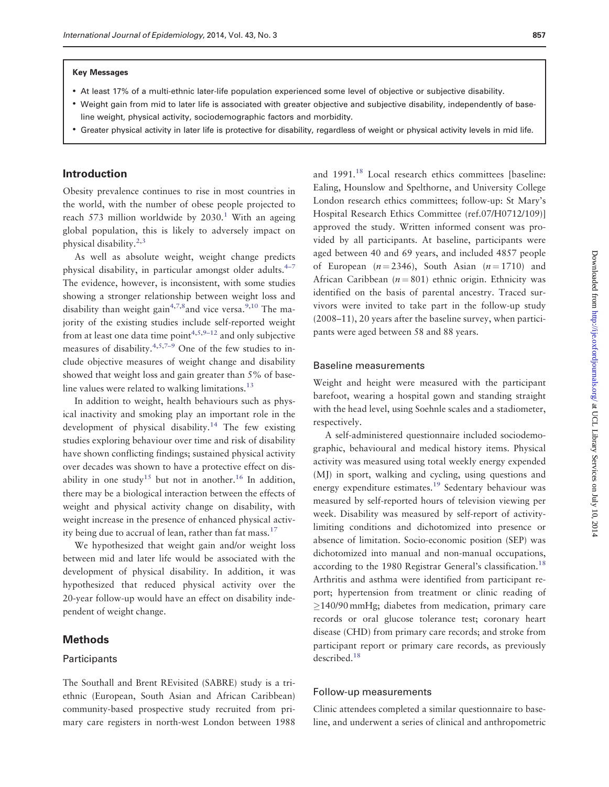#### Key Messages

- At least 17% of a multi-ethnic later-life population experienced some level of objective or subjective disability.
- Weight gain from mid to later life is associated with greater objective and subjective disability, independently of baseline weight, physical activity, sociodemographic factors and morbidity.
- Greater physical activity in later life is protective for disability, regardless of weight or physical activity levels in mid life.

### Introduction

Obesity prevalence continues to rise in most countries in the world, with the number of obese people projected to reach 573 million worldwide by  $2030<sup>1</sup>$  With an ageing global population, this is likely to adversely impact on physical disability. $2,3$ 

As well as absolute weight, weight change predicts physical disability, in particular amongst older adults.4–7 The evidence, however, is inconsistent, with some studies showing a stronger relationship between weight loss and disability than weight gain<sup>[4,7,8](#page-8-0)</sup> and vice versa.<sup>[9,10](#page-8-0)</sup> The majority of the existing studies include self-reported weight from at least one data time point<sup> $4,5,9-12$ </sup> and only subjective measures of disability.<sup>4,5,7–9</sup> One of the few studies to include objective measures of weight change and disability showed that weight loss and gain greater than 5% of baseline values were related to walking limitations. $13$ 

In addition to weight, health behaviours such as physical inactivity and smoking play an important role in the development of physical disability.<sup>14</sup> The few existing studies exploring behaviour over time and risk of disability have shown conflicting findings; sustained physical activity over decades was shown to have a protective effect on dis-ability in one study<sup>[15](#page-8-0)</sup> but not in another.<sup>[16](#page-8-0)</sup> In addition, there may be a biological interaction between the effects of weight and physical activity change on disability, with weight increase in the presence of enhanced physical activity being due to accrual of lean, rather than fat mass. $17$ 

We hypothesized that weight gain and/or weight loss between mid and later life would be associated with the development of physical disability. In addition, it was hypothesized that reduced physical activity over the 20-year follow-up would have an effect on disability independent of weight change.

#### Methods

#### **Participants**

The Southall and Brent REvisited (SABRE) study is a triethnic (European, South Asian and African Caribbean) community-based prospective study recruited from primary care registers in north-west London between 1988 and 1991.<sup>[18](#page-8-0)</sup> Local research ethics committees [baseline: Ealing, Hounslow and Spelthorne, and University College London research ethics committees; follow-up: St Mary's Hospital Research Ethics Committee (ref.07/H0712/109)] approved the study. Written informed consent was provided by all participants. At baseline, participants were aged between 40 and 69 years, and included 4857 people of European  $(n=2346)$ , South Asian  $(n=1710)$  and African Caribbean ( $n = 801$ ) ethnic origin. Ethnicity was identified on the basis of parental ancestry. Traced survivors were invited to take part in the follow-up study (2008–11), 20 years after the baseline survey, when participants were aged between 58 and 88 years.

#### Baseline measurements

Weight and height were measured with the participant barefoot, wearing a hospital gown and standing straight with the head level, using Soehnle scales and a stadiometer, respectively.

A self-administered questionnaire included sociodemographic, behavioural and medical history items. Physical activity was measured using total weekly energy expended (MJ) in sport, walking and cycling, using questions and energy expenditure estimates[.19](#page-8-0) Sedentary behaviour was measured by self-reported hours of television viewing per week. Disability was measured by self-report of activitylimiting conditions and dichotomized into presence or absence of limitation. Socio-economic position (SEP) was dichotomized into manual and non-manual occupations, according to the 1980 Registrar General's classification.<sup>18</sup> Arthritis and asthma were identified from participant report; hypertension from treatment or clinic reading of  $\geq$ 140/90 mmHg; diabetes from medication, primary care records or oral glucose tolerance test; coronary heart disease (CHD) from primary care records; and stroke from participant report or primary care records, as previously described[.18](#page-8-0)

#### Follow-up measurements

Clinic attendees completed a similar questionnaire to baseline, and underwent a series of clinical and anthropometric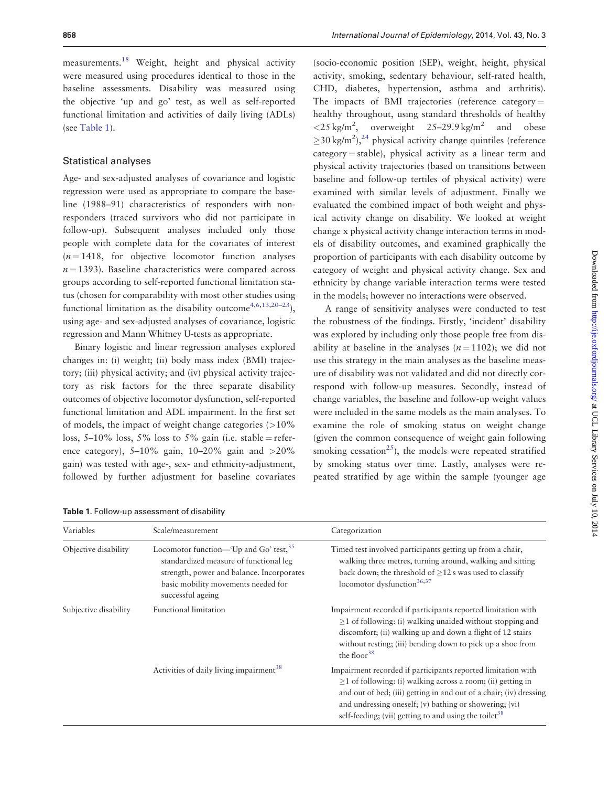measurements[.18](#page-8-0) Weight, height and physical activity were measured using procedures identical to those in the baseline assessments. Disability was measured using the objective 'up and go' test, as well as self-reported functional limitation and activities of daily living (ADLs) (see Table 1).

#### Statistical analyses

Age- and sex-adjusted analyses of covariance and logistic regression were used as appropriate to compare the baseline (1988–91) characteristics of responders with nonresponders (traced survivors who did not participate in follow-up). Subsequent analyses included only those people with complete data for the covariates of interest  $(n = 1418,$  for objective locomotor function analyses  $n = 1393$ ). Baseline characteristics were compared across groups according to self-reported functional limitation status (chosen for comparability with most other studies using functional limitation as the disability outcome<sup>[4,6,13,](#page-8-0)20-23</sup>), using age- and sex-adjusted analyses of covariance, logistic regression and Mann Whitney U-tests as appropriate.

Binary logistic and linear regression analyses explored changes in: (i) weight; (ii) body mass index (BMI) trajectory; (iii) physical activity; and (iv) physical activity trajectory as risk factors for the three separate disability outcomes of objective locomotor dysfunction, self-reported functional limitation and ADL impairment. In the first set of models, the impact of weight change categories  $(>10\%)$ loss, 5–10% loss, 5% loss to 5% gain (i.e. stable = reference category),  $5-10\%$  gain,  $10-20\%$  gain and  $>20\%$ gain) was tested with age-, sex- and ethnicity-adjustment, followed by further adjustment for baseline covariates

(socio-economic position (SEP), weight, height, physical activity, smoking, sedentary behaviour, self-rated health, CHD, diabetes, hypertension, asthma and arthritis). The impacts of BMI trajectories (reference category  $=$ healthy throughout, using standard thresholds of healthy  $\langle 25 \text{ kg/m}^2, \quad \text{overweight} \quad 25-29.9 \text{ kg/m}^2 \quad \text{and} \quad \text{obese}$  $\geq$ 30 kg/m<sup>2</sup>),<sup>[24](#page-9-0)</sup> physical activity change quintiles (reference  $category = stable$ ), physical activity as a linear term and physical activity trajectories (based on transitions between baseline and follow-up tertiles of physical activity) were examined with similar levels of adjustment. Finally we evaluated the combined impact of both weight and physical activity change on disability. We looked at weight change x physical activity change interaction terms in models of disability outcomes, and examined graphically the proportion of participants with each disability outcome by category of weight and physical activity change. Sex and ethnicity by change variable interaction terms were tested in the models; however no interactions were observed.

A range of sensitivity analyses were conducted to test the robustness of the findings. Firstly, 'incident' disability was explored by including only those people free from disability at baseline in the analyses  $(n = 1102)$ ; we did not use this strategy in the main analyses as the baseline measure of disability was not validated and did not directly correspond with follow-up measures. Secondly, instead of change variables, the baseline and follow-up weight values were included in the same models as the main analyses. To examine the role of smoking status on weight change (given the common consequence of weight gain following smoking cessation<sup>[25](#page-9-0)</sup>), the models were repeated stratified by smoking status over time. Lastly, analyses were repeated stratified by age within the sample (younger age

Table 1. Follow-up assessment of disability

| <b>TUBIC I</b> II ONOW UP GOODOOINOIN OF GIOGDING |                                                                                                                                                                                                       |                                                                                                                                                                                                                                                                                                                                    |  |  |  |  |
|---------------------------------------------------|-------------------------------------------------------------------------------------------------------------------------------------------------------------------------------------------------------|------------------------------------------------------------------------------------------------------------------------------------------------------------------------------------------------------------------------------------------------------------------------------------------------------------------------------------|--|--|--|--|
| Variables                                         | Scale/measurement                                                                                                                                                                                     | Categorization                                                                                                                                                                                                                                                                                                                     |  |  |  |  |
| Objective disability                              | Locomotor function—'Up and Go' test, <sup>35</sup><br>standardized measure of functional leg<br>strength, power and balance. Incorporates<br>basic mobility movements needed for<br>successful ageing | Timed test involved participants getting up from a chair,<br>walking three metres, turning around, walking and sitting<br>back down; the threshold of $>12$ s was used to classify<br>locomotor dysfunction <sup>36,37</sup>                                                                                                       |  |  |  |  |
| Subjective disability                             | <b>Functional limitation</b>                                                                                                                                                                          | Impairment recorded if participants reported limitation with<br>$>1$ of following: (i) walking unaided without stopping and<br>discomfort; (ii) walking up and down a flight of 12 stairs<br>without resting; (iii) bending down to pick up a shoe from<br>the floor $38$                                                          |  |  |  |  |
|                                                   | Activities of daily living impairment <sup>38</sup>                                                                                                                                                   | Impairment recorded if participants reported limitation with<br>$>1$ of following: (i) walking across a room; (ii) getting in<br>and out of bed; (iii) getting in and out of a chair; (iv) dressing<br>and undressing oneself; (v) bathing or showering; (vi)<br>self-feeding; (vii) getting to and using the toilet <sup>38</sup> |  |  |  |  |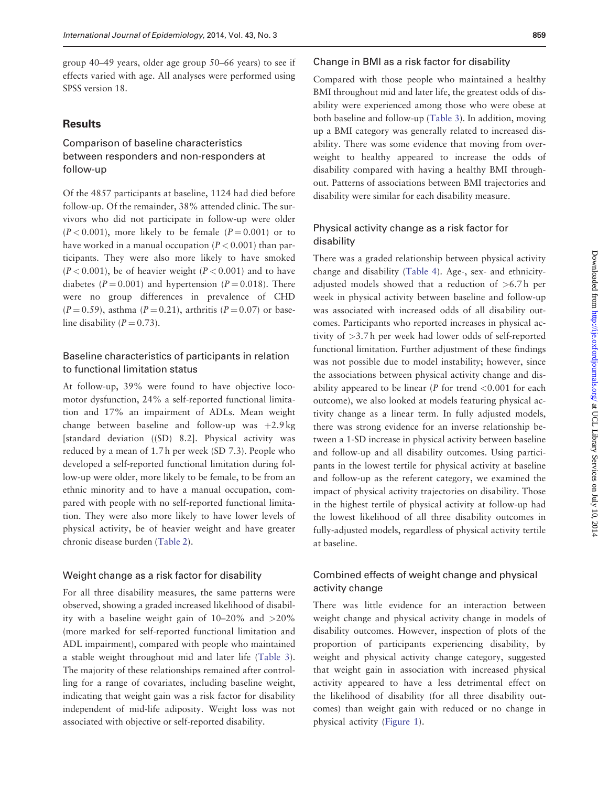group 40–49 years, older age group 50–66 years) to see if effects varied with age. All analyses were performed using SPSS version 18.

## **Results**

## Comparison of baseline characteristics between responders and non-responders at follow-up

Of the 4857 participants at baseline, 1124 had died before follow-up. Of the remainder, 38% attended clinic. The survivors who did not participate in follow-up were older  $(P<0.001)$ , more likely to be female  $(P=0.001)$  or to have worked in a manual occupation  $(P < 0.001)$  than participants. They were also more likely to have smoked  $(P < 0.001)$ , be of heavier weight  $(P < 0.001)$  and to have diabetes ( $P = 0.001$ ) and hypertension ( $P = 0.018$ ). There were no group differences in prevalence of CHD  $(P = 0.59)$ , asthma  $(P = 0.21)$ , arthritis  $(P = 0.07)$  or baseline disability ( $P = 0.73$ ).

## Baseline characteristics of participants in relation to functional limitation status

At follow-up, 39% were found to have objective locomotor dysfunction, 24% a self-reported functional limitation and 17% an impairment of ADLs. Mean weight change between baseline and follow-up was  $+2.9$  kg [standard deviation ((SD) 8.2]. Physical activity was reduced by a mean of 1.7 h per week (SD 7.3). People who developed a self-reported functional limitation during follow-up were older, more likely to be female, to be from an ethnic minority and to have a manual occupation, compared with people with no self-reported functional limitation. They were also more likely to have lower levels of physical activity, be of heavier weight and have greater chronic disease burden ([Table 2\)](#page-4-0).

#### Weight change as a risk factor for disability

For all three disability measures, the same patterns were observed, showing a graded increased likelihood of disability with a baseline weight gain of 10–20% and >20% (more marked for self-reported functional limitation and ADL impairment), compared with people who maintained a stable weight throughout mid and later life ([Table 3](#page-5-0)). The majority of these relationships remained after controlling for a range of covariates, including baseline weight, indicating that weight gain was a risk factor for disability independent of mid-life adiposity. Weight loss was not associated with objective or self-reported disability.

#### Change in BMI as a risk factor for disability

Compared with those people who maintained a healthy BMI throughout mid and later life, the greatest odds of disability were experienced among those who were obese at both baseline and follow-up [\(Table 3](#page-5-0)). In addition, moving up a BMI category was generally related to increased disability. There was some evidence that moving from overweight to healthy appeared to increase the odds of disability compared with having a healthy BMI throughout. Patterns of associations between BMI trajectories and disability were similar for each disability measure.

## Physical activity change as a risk factor for disability

There was a graded relationship between physical activity change and disability [\(Table 4\)](#page-6-0). Age-, sex- and ethnicityadjusted models showed that a reduction of >6.7 h per week in physical activity between baseline and follow-up was associated with increased odds of all disability outcomes. Participants who reported increases in physical activity of >3.7 h per week had lower odds of self-reported functional limitation. Further adjustment of these findings was not possible due to model instability; however, since the associations between physical activity change and disability appeared to be linear (P for trend  $\langle 0.001 \rangle$  for each outcome), we also looked at models featuring physical activity change as a linear term. In fully adjusted models, there was strong evidence for an inverse relationship between a 1-SD increase in physical activity between baseline and follow-up and all disability outcomes. Using participants in the lowest tertile for physical activity at baseline and follow-up as the referent category, we examined the impact of physical activity trajectories on disability. Those in the highest tertile of physical activity at follow-up had the lowest likelihood of all three disability outcomes in fully-adjusted models, regardless of physical activity tertile at baseline.

## Combined effects of weight change and physical activity change

There was little evidence for an interaction between weight change and physical activity change in models of disability outcomes. However, inspection of plots of the proportion of participants experiencing disability, by weight and physical activity change category, suggested that weight gain in association with increased physical activity appeared to have a less detrimental effect on the likelihood of disability (for all three disability outcomes) than weight gain with reduced or no change in physical activity [\(Figure 1](#page-7-0)).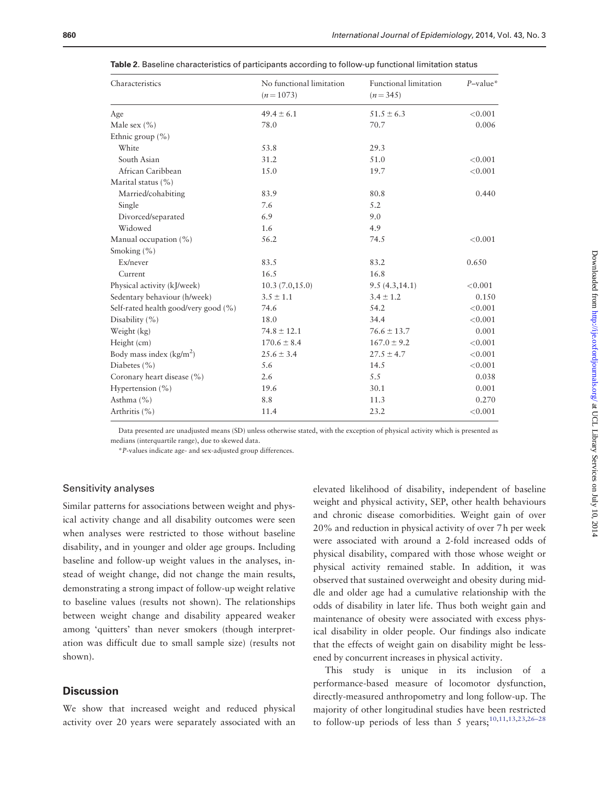| Characteristics                      | No functional limitation<br>$(n=1073)$ | Functional limitation<br>$(n=345)$ | $P$ -value* |  |
|--------------------------------------|----------------------------------------|------------------------------------|-------------|--|
| Age                                  | $49.4 \pm 6.1$                         | $51.5 \pm 6.3$                     | < 0.001     |  |
| Male sex $(\% )$                     | 78.0                                   | 70.7                               | 0.006       |  |
| Ethnic group (%)                     |                                        |                                    |             |  |
| White                                | 53.8                                   | 29.3                               |             |  |
| South Asian                          | 31.2                                   | 51.0                               | < 0.001     |  |
| African Caribbean                    | 15.0                                   | 19.7                               | < 0.001     |  |
| Marital status (%)                   |                                        |                                    |             |  |
| Married/cohabiting                   | 83.9                                   | 80.8                               | 0.440       |  |
| Single                               | 7.6                                    | 5.2                                |             |  |
| Divorced/separated                   | 6.9                                    | 9.0                                |             |  |
| Widowed                              | 1.6                                    | 4.9                                |             |  |
| Manual occupation (%)                | 56.2                                   | 74.5                               | < 0.001     |  |
| Smoking $(\% )$                      |                                        |                                    |             |  |
| Ex/never                             | 83.5                                   | 83.2                               | 0.650       |  |
| Current                              | 16.5                                   | 16.8                               |             |  |
| Physical activity (kJ/week)          | 10.3(7.0, 15.0)                        | 9.5(4.3, 14.1)                     | < 0.001     |  |
| Sedentary behaviour (h/week)         | $3.5 \pm 1.1$                          | $3.4 \pm 1.2$                      | 0.150       |  |
| Self-rated health good/very good (%) | 74.6                                   | 54.2                               | < 0.001     |  |
| Disability $(\% )$                   | 18.0                                   | 34.4                               | < 0.001     |  |
| Weight (kg)                          | $74.8 \pm 12.1$                        | $76.6 \pm 13.7$                    | 0.001       |  |
| Height (cm)                          | $170.6 \pm 8.4$                        | $167.0 \pm 9.2$                    | < 0.001     |  |
| Body mass index $(kg/m2)$            | $25.6 \pm 3.4$                         | $27.5 \pm 4.7$                     | < 0.001     |  |
| Diabetes $(\% )$                     | 5.6                                    | 14.5                               | < 0.001     |  |
| Coronary heart disease (%)           | 2.6                                    | 5.5                                | 0.038       |  |
| Hypertension $(\% )$                 | 19.6                                   | 30.1                               | 0.001       |  |
| Asthma $(%)$                         | 8.8                                    | 11.3                               | 0.270       |  |
| Arthritis (%)                        | 11.4                                   | 23.2                               | < 0.001     |  |

<span id="page-4-0"></span>Table 2. Baseline characteristics of participants according to follow-up functional limitation status

Data presented are unadjusted means (SD) unless otherwise stated, with the exception of physical activity which is presented as medians (interquartile range), due to skewed data.

\*P-values indicate age- and sex-adjusted group differences.

## Sensitivity analyses

Similar patterns for associations between weight and physical activity change and all disability outcomes were seen when analyses were restricted to those without baseline disability, and in younger and older age groups. Including baseline and follow-up weight values in the analyses, instead of weight change, did not change the main results, demonstrating a strong impact of follow-up weight relative to baseline values (results not shown). The relationships between weight change and disability appeared weaker among 'quitters' than never smokers (though interpretation was difficult due to small sample size) (results not shown).

## **Discussion**

We show that increased weight and reduced physical activity over 20 years were separately associated with an elevated likelihood of disability, independent of baseline weight and physical activity, SEP, other health behaviours and chronic disease comorbidities. Weight gain of over 20% and reduction in physical activity of over 7 h per week were associated with around a 2-fold increased odds of physical disability, compared with those whose weight or physical activity remained stable. In addition, it was observed that sustained overweight and obesity during middle and older age had a cumulative relationship with the odds of disability in later life. Thus both weight gain and maintenance of obesity were associated with excess physical disability in older people. Our findings also indicate that the effects of weight gain on disability might be lessened by concurrent increases in physical activity.

This study is unique in its inclusion of a performance-based measure of locomotor dysfunction, directly-measured anthropometry and long follow-up. The majority of other longitudinal studies have been restricted to follow-up periods of less than 5 years;<sup>[10,11,13,](#page-8-0)[23](#page-9-0),26-28</sup>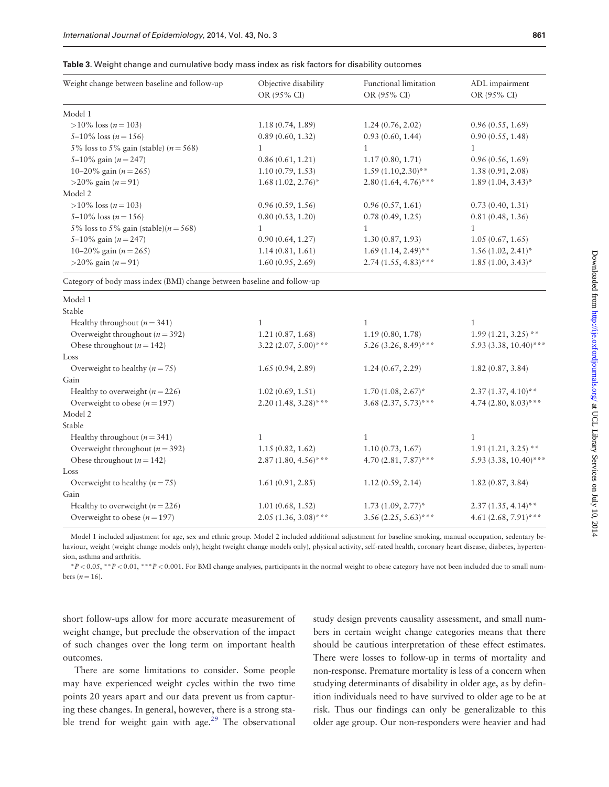<span id="page-5-0"></span>

|  |  |  |  |  | <b>Table 3.</b> Weight change and cumulative body mass index as risk factors for disability outcomes |  |  |  |
|--|--|--|--|--|------------------------------------------------------------------------------------------------------|--|--|--|
|--|--|--|--|--|------------------------------------------------------------------------------------------------------|--|--|--|

| Weight change between baseline and follow-up                            | Objective disability<br>OR (95% CI) | Functional limitation<br>OR (95% CI) | ADL impairment<br>OR (95% CI) |
|-------------------------------------------------------------------------|-------------------------------------|--------------------------------------|-------------------------------|
| Model 1                                                                 |                                     |                                      |                               |
| >10% loss ( $n = 103$ )                                                 | 1.18(0.74, 1.89)                    | 1.24(0.76, 2.02)                     | 0.96(0.55, 1.69)              |
| 5–10% loss ( $n = 156$ )                                                | 0.89(0.60, 1.32)                    | 0.93(0.60, 1.44)                     | 0.90(0.55, 1.48)              |
| 5% loss to 5% gain (stable) ( $n = 568$ )                               | 1                                   | $\mathbf{1}$                         | 1                             |
| 5-10% gain ( $n = 247$ )                                                | 0.86(0.61, 1.21)                    | 1.17(0.80, 1.71)                     | 0.96(0.56, 1.69)              |
| 10-20% gain ( $n = 265$ )                                               | 1.10(0.79, 1.53)                    | $1.59(1.10, 2.30)**$                 | 1.38(0.91, 2.08)              |
| >20% gain ( $n = 91$ )                                                  | $1.68(1.02, 2.76)^*$                | $2.80(1.64, 4.76)$ ***               | $1.89(1.04, 3.43)^*$          |
| Model 2                                                                 |                                     |                                      |                               |
| >10% loss ( $n = 103$ )                                                 | 0.96(0.59, 1.56)                    | 0.96(0.57, 1.61)                     | 0.73(0.40, 1.31)              |
| 5–10% loss ( $n = 156$ )                                                | 0.80(0.53, 1.20)                    | 0.78(0.49, 1.25)                     | 0.81(0.48, 1.36)              |
| 5% loss to 5% gain (stable)( $n = 568$ )                                | 1                                   | $\mathbf{1}$                         | $\mathbf{1}$                  |
| 5-10% gain ( $n = 247$ )                                                | 0.90(0.64, 1.27)                    | 1.30(0.87, 1.93)                     | 1.05(0.67, 1.65)              |
| 10-20% gain ( $n = 265$ )                                               | 1.14(0.81, 1.61)                    | $1.69(1.14, 2.49)$ **                | $1.56(1.02, 2.41)^*$          |
| >20% gain ( $n = 91$ )                                                  | 1.60(0.95, 2.69)                    | $2.74(1.55, 4.83)$ ***               | $1.85(1.00, 3.43)^*$          |
| Category of body mass index (BMI) change between baseline and follow-up |                                     |                                      |                               |
| Model 1                                                                 |                                     |                                      |                               |
| Stable                                                                  |                                     |                                      |                               |
| Healthy throughout ( $n = 341$ )                                        | $\mathbf{1}$                        | $\mathbf{1}$                         | $\mathbf{1}$                  |
| Overweight throughout $(n=392)$                                         | 1.21(0.87, 1.68)                    | 1.19(0.80, 1.78)                     | $1.99(1.21, 3.25)$ **         |
| Obese throughout $(n = 142)$                                            | $3.22(2.07, 5.00)$ ***              | 5.26 (3.26, 8.49)***                 | 5.93 (3.38, 10.40)***         |
| Loss                                                                    |                                     |                                      |                               |
| Overweight to healthy ( $n = 75$ )                                      | 1.65(0.94, 2.89)                    | 1.24(0.67, 2.29)                     | 1.82(0.87, 3.84)              |
| Gain                                                                    |                                     |                                      |                               |
| Healthy to overweight ( $n = 226$ )                                     | 1.02(0.69, 1.51)                    | $1.70(1.08, 2.67)^*$                 | $2.37(1.37, 4.10)$ **         |
| Overweight to obese ( $n = 197$ )                                       | $2.20(1.48, 3.28)$ ***              | $3.68(2.37, 5.73)$ ***               | 4.74 (2.80, 8.03)***          |
| Model 2                                                                 |                                     |                                      |                               |
| Stable                                                                  |                                     |                                      |                               |
| Healthy throughout ( $n = 341$ )                                        | $\mathbf{1}$                        | $\mathbf{1}$                         | $\mathbf{1}$                  |
| Overweight throughout $(n = 392)$                                       | 1.15(0.82, 1.62)                    | 1.10(0.73, 1.67)                     | $1.91(1.21, 3.25)$ **         |
| Obese throughout $(n = 142)$                                            | $2.87(1.80, 4.56)$ ***              | 4.70 (2.81, 7.87)***                 | 5.93 (3.38, 10.40)***         |
| Loss                                                                    |                                     |                                      |                               |
| Overweight to healthy ( $n = 75$ )                                      | 1.61(0.91, 2.85)                    | 1.12(0.59, 2.14)                     | 1.82(0.87, 3.84)              |
| Gain                                                                    |                                     |                                      |                               |
| Healthy to overweight ( $n = 226$ )                                     | 1.01(0.68, 1.52)                    | $1.73$ $(1.09, 2.77)^*$              | $2.37(1.35, 4.14)$ **         |
| Overweight to obese ( $n = 197$ )                                       | $2.05(1.36, 3.08)$ ***              | $3.56(2.25, 5.63)$ ***               | 4.61 (2.68, 7.91)***          |

Model 1 included adjustment for age, sex and ethnic group. Model 2 included additional adjustment for baseline smoking, manual occupation, sedentary behaviour, weight (weight change models only), height (weight change models only), physical activity, self-rated health, coronary heart disease, diabetes, hypertension, asthma and arthritis.

 $*P < 0.05$ ,  $*P < 0.01$ ,  $**P < 0.001$ . For BMI change analyses, participants in the normal weight to obese category have not been included due to small numbers  $(n = 16)$ .

short follow-ups allow for more accurate measurement of weight change, but preclude the observation of the impact of such changes over the long term on important health outcomes.

There are some limitations to consider. Some people may have experienced weight cycles within the two time points 20 years apart and our data prevent us from capturing these changes. In general, however, there is a strong stable trend for weight gain with age.<sup>29</sup> The observational study design prevents causality assessment, and small numbers in certain weight change categories means that there should be cautious interpretation of these effect estimates. There were losses to follow-up in terms of mortality and non-response. Premature mortality is less of a concern when studying determinants of disability in older age, as by definition individuals need to have survived to older age to be at risk. Thus our findings can only be generalizable to this older age group. Our non-responders were heavier and had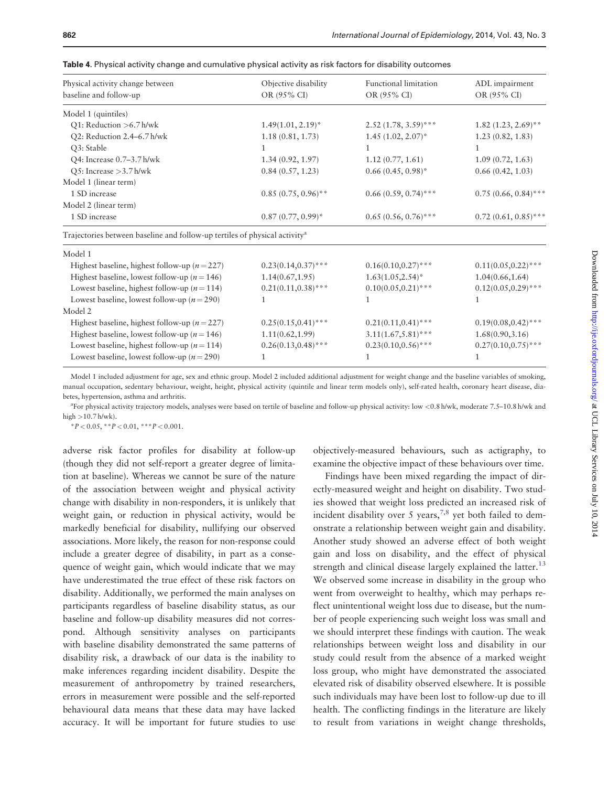| Physical activity change between                                                       | Objective disability   | Functional limitation  | ADL impairment           |  |
|----------------------------------------------------------------------------------------|------------------------|------------------------|--------------------------|--|
| baseline and follow-up                                                                 | OR (95% CI)            | OR (95% CI)            | OR (95% CI)              |  |
| Model 1 (quintiles)                                                                    |                        |                        |                          |  |
| Q1: Reduction >6.7 h/wk                                                                | $1.49(1.01, 2.19)^*$   | $2.52(1.78, 3.59)$ *** | $1.82$ $(1.23, 2.69)$ ** |  |
| Q2: Reduction 2.4–6.7 h/wk                                                             | 1.18(0.81, 1.73)       | $1.45(1.02, 2.07)^*$   | 1.23(0.82, 1.83)         |  |
| Q3: Stable                                                                             |                        | 1                      | 1                        |  |
| Q4: Increase 0.7-3.7 h/wk                                                              | 1.34(0.92, 1.97)       | 1.12(0.77, 1.61)       | 1.09(0.72, 1.63)         |  |
| Q5: Increase $>3.7$ h/wk                                                               | 0.84(0.57, 1.23)       | $0.66(0.45, 0.98)^*$   | 0.66(0.42, 1.03)         |  |
| Model 1 (linear term)                                                                  |                        |                        |                          |  |
| 1 SD increase                                                                          | $0.85(0.75, 0.96)$ **  | $0.66(0.59, 0.74)$ *** | $0.75(0.66, 0.84)$ ***   |  |
| Model 2 (linear term)                                                                  |                        |                        |                          |  |
| 1 SD increase                                                                          | $0.87(0.77, 0.99)^*$   | $0.65(0.56, 0.76)$ *** | $0.72(0.61, 0.85)$ ***   |  |
| Trajectories between baseline and follow-up tertiles of physical activity <sup>a</sup> |                        |                        |                          |  |
| Model 1                                                                                |                        |                        |                          |  |
| Highest baseline, highest follow-up ( $n = 227$ )                                      | $0.23(0.14, 0.37)$ *** | $0.16(0.10, 0.27)$ *** | $0.11(0.05, 0.22)$ ***   |  |
| Highest baseline, lowest follow-up ( $n = 146$ )                                       | 1.14(0.67, 1.95)       | $1.63(1.05, 2.54)^*$   | 1.04(0.66, 1.64)         |  |
| Lowest baseline, highest follow-up ( $n = 114$ )                                       | $0.21(0.11, 0.38)$ *** | $0.10(0.05, 0.21)$ *** | $0.12(0.05, 0.29)$ ***   |  |
| Lowest baseline, lowest follow-up ( $n = 290$ )                                        | 1                      | 1                      | 1                        |  |
| Model 2                                                                                |                        |                        |                          |  |
| Highest baseline, highest follow-up ( $n = 227$ )                                      | $0.25(0.15, 0.41)$ *** | $0.21(0.11, 0.41)$ *** | $0.19(0.08, 0.42)$ ***   |  |
| Highest baseline, lowest follow-up ( $n = 146$ )                                       | 1.11(0.62, 1.99)       | $3.11(1.67, 5.81)$ *** | 1.68(0.90, 3.16)         |  |
| Lowest baseline, highest follow-up ( $n = 114$ )                                       | $0.26(0.13, 0.48)$ *** | $0.23(0.10, 0.56)$ *** | $0.27(0.10, 0.75)$ ***   |  |
| Lowest baseline, lowest follow-up ( $n = 290$ )                                        |                        | 1                      | 1                        |  |
|                                                                                        |                        |                        |                          |  |

<span id="page-6-0"></span>

|  |  | Table 4. Physical activity change and cumulative physical activity as risk factors for disability outcomes |  |  |  |
|--|--|------------------------------------------------------------------------------------------------------------|--|--|--|
|  |  |                                                                                                            |  |  |  |

Model 1 included adjustment for age, sex and ethnic group. Model 2 included additional adjustment for weight change and the baseline variables of smoking, manual occupation, sedentary behaviour, weight, height, physical activity (quintile and linear term models only), self-rated health, coronary heart disease, diabetes, hypertension, asthma and arthritis.

a For physical activity trajectory models, analyses were based on tertile of baseline and follow-up physical activity: low <0.8 h/wk, moderate 7.5–10.8 h/wk and high  $>10.7$  h/wk).

 $*P < 0.05$ ,  $*P < 0.01$ ,  $* * P < 0.001$ .

adverse risk factor profiles for disability at follow-up (though they did not self-report a greater degree of limitation at baseline). Whereas we cannot be sure of the nature of the association between weight and physical activity change with disability in non-responders, it is unlikely that weight gain, or reduction in physical activity, would be markedly beneficial for disability, nullifying our observed associations. More likely, the reason for non-response could include a greater degree of disability, in part as a consequence of weight gain, which would indicate that we may have underestimated the true effect of these risk factors on disability. Additionally, we performed the main analyses on participants regardless of baseline disability status, as our baseline and follow-up disability measures did not correspond. Although sensitivity analyses on participants with baseline disability demonstrated the same patterns of disability risk, a drawback of our data is the inability to make inferences regarding incident disability. Despite the measurement of anthropometry by trained researchers, errors in measurement were possible and the self-reported behavioural data means that these data may have lacked accuracy. It will be important for future studies to use

objectively-measured behaviours, such as actigraphy, to examine the objective impact of these behaviours over time.

Findings have been mixed regarding the impact of directly-measured weight and height on disability. Two studies showed that weight loss predicted an increased risk of incident disability over 5 years,<sup>7,8</sup> yet both failed to demonstrate a relationship between weight gain and disability. Another study showed an adverse effect of both weight gain and loss on disability, and the effect of physical strength and clinical disease largely explained the latter.<sup>13</sup> We observed some increase in disability in the group who went from overweight to healthy, which may perhaps reflect unintentional weight loss due to disease, but the number of people experiencing such weight loss was small and we should interpret these findings with caution. The weak relationships between weight loss and disability in our study could result from the absence of a marked weight loss group, who might have demonstrated the associated elevated risk of disability observed elsewhere. It is possible such individuals may have been lost to follow-up due to ill health. The conflicting findings in the literature are likely to result from variations in weight change thresholds,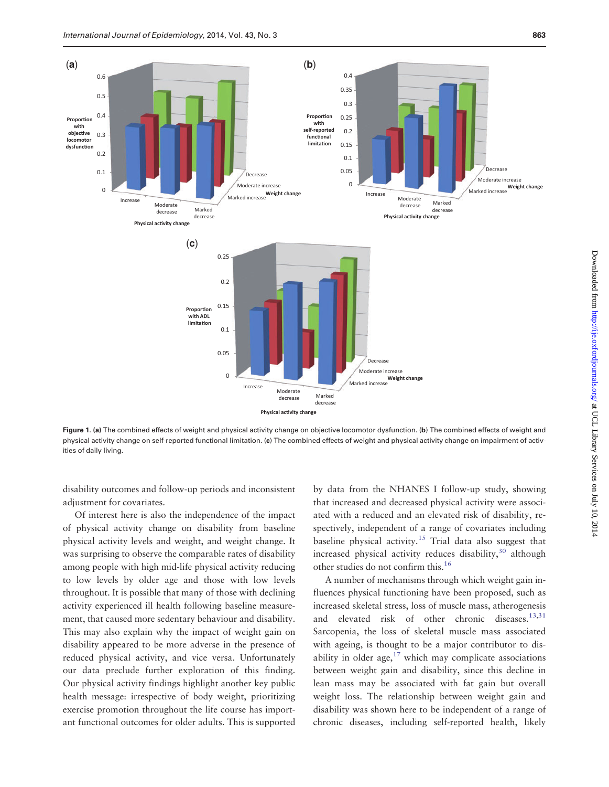<span id="page-7-0"></span>

Figure 1. (a) The combined effects of weight and physical activity change on objective locomotor dysfunction. (b) The combined effects of weight and physical activity change on self-reported functional limitation. (c) The combined effects of weight and physical activity change on impairment of activities of daily living.

disability outcomes and follow-up periods and inconsistent adjustment for covariates.

Of interest here is also the independence of the impact of physical activity change on disability from baseline physical activity levels and weight, and weight change. It was surprising to observe the comparable rates of disability among people with high mid-life physical activity reducing to low levels by older age and those with low levels throughout. It is possible that many of those with declining activity experienced ill health following baseline measurement, that caused more sedentary behaviour and disability. This may also explain why the impact of weight gain on disability appeared to be more adverse in the presence of reduced physical activity, and vice versa. Unfortunately our data preclude further exploration of this finding. Our physical activity findings highlight another key public health message: irrespective of body weight, prioritizing exercise promotion throughout the life course has important functional outcomes for older adults. This is supported

by data from the NHANES I follow-up study, showing that increased and decreased physical activity were associated with a reduced and an elevated risk of disability, respectively, independent of a range of covariates including baseline physical activity.<sup>[15](#page-8-0)</sup> Trial data also suggest that increased physical activity reduces disability, $30$  although other studies do not confirm this.[16](#page-8-0)

A number of mechanisms through which weight gain influences physical functioning have been proposed, such as increased skeletal stress, loss of muscle mass, atherogenesis and elevated risk of other chronic diseases.<sup>[13](#page-8-0)[,31](#page-9-0)</sup> Sarcopenia, the loss of skeletal muscle mass associated with ageing, is thought to be a major contributor to disability in older age,  $17$  which may complicate associations between weight gain and disability, since this decline in lean mass may be associated with fat gain but overall weight loss. The relationship between weight gain and disability was shown here to be independent of a range of chronic diseases, including self-reported health, likely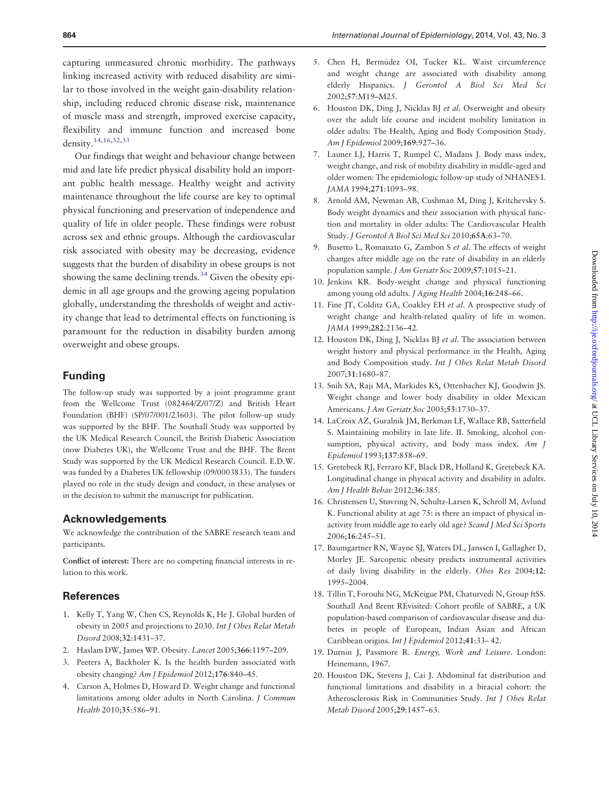<span id="page-8-0"></span>capturing unmeasured chronic morbidity. The pathways linking increased activity with reduced disability are similar to those involved in the weight gain-disability relationship, including reduced chronic disease risk, maintenance of muscle mass and strength, improved exercise capacity, flexibility and immune function and increased bone density.14,16[,32,33](#page-9-0)

Our findings that weight and behaviour change between mid and late life predict physical disability hold an important public health message. Healthy weight and activity maintenance throughout the life course are key to optimal physical functioning and preservation of independence and quality of life in older people. These findings were robust across sex and ethnic groups. Although the cardiovascular risk associated with obesity may be decreasing, evidence suggests that the burden of disability in obese groups is not showing the same declining trends.<sup>[34](#page-9-0)</sup> Given the obesity epidemic in all age groups and the growing ageing population globally, understanding the thresholds of weight and activity change that lead to detrimental effects on functioning is paramount for the reduction in disability burden among overweight and obese groups.

# Funding

The follow-up study was supported by a joint programme grant from the Wellcome Trust (082464/Z/07/Z) and British Heart Foundation (BHF) (SP/07/001/23603). The pilot follow-up study was supported by the BHF. The Southall Study was supported by the UK Medical Research Council, the British Diabetic Association (now Diabetes UK), the Wellcome Trust and the BHF. The Brent Study was supported by the UK Medical Research Council. E.D.W. was funded by a Diabetes UK fellowship (09/0003833). The funders played no role in the study design and conduct, in these analyses or in the decision to submit the manuscript for publication.

# Acknowledgements

We acknowledge the contribution of the SABRE research team and participants.

Conflict of interest: There are no competing financial interests in relation to this work.

# References

- 1. Kelly T, Yang W, Chen CS, Reynolds K, He J. Global burden of obesity in 2005 and projections to 2030. Int J Obes Relat Metab Disord 2008;32:1431–37.
- 2. Haslam DW, James WP. Obesity. Lancet 2005;366:1197–209.
- 3. Peeters A, Backholer K. Is the health burden associated with obesity changing? Am J Epidemiol 2012;176:840–45.
- 4. Carson A, Holmes D, Howard D. Weight change and functional limitations among older adults in North Carolina. J Commun Health 2010;35:586–91.
- 5. Chen H, Bermúdez OI, Tucker KL. Waist circumference and weight change are associated with disability among elderly Hispanics. J Gerontol A Biol Sci Med Sci 2002;57:M19–M25.
- 6. Houston DK, Ding J, Nicklas BJ et al. Overweight and obesity over the adult life course and incident mobility limitation in older adults: The Health, Aging and Body Composition Study. Am J Epidemiol 2009;169:927–36.
- 7. Launer LJ, Harris T, Rumpel C, Madans J. Body mass index, weight change, and risk of mobility disability in middle-aged and older women: The epidemiologic follow-up study of NHANES I. JAMA 1994;271:1093–98.
- 8. Arnold AM, Newman AB, Cushman M, Ding J, Kritchevsky S. Body weight dynamics and their association with physical function and mortality in older adults: The Cardiovascular Health Study. J Gerontol A Biol Sci Med Sci 2010;65A:63–70.
- 9. Busetto L, Romanato G, Zambon S et al. The effects of weight changes after middle age on the rate of disability in an elderly population sample. J Am Geriatr Soc 2009;57:1015–21.
- 10. Jenkins KR. Body-weight change and physical functioning among young old adults. J Aging Health 2004;16:248–66.
- 11. Fine JT, Colditz GA, Coakley EH et al. A prospective study of weight change and health-related quality of life in women. JAMA 1999;282:2136–42.
- 12. Houston DK, Ding J, Nicklas BJ et al. The association between weight history and physical performance in the Health, Aging and Body Composition study. Int J Obes Relat Metab Disord 2007;31:1680–87.
- 13. Snih SA, Raji MA, Markides KS, Ottenbacher KJ, Goodwin JS. Weight change and lower body disability in older Mexican Americans. J Am Geriatr Soc 2005;53:1730–37.
- 14. LaCroix AZ, Guralnik JM, Berkman LF, Wallace RB, Satterfield S. Maintaining mobility in late life. II. Smoking, alcohol consumption, physical activity, and body mass index. Am J Epidemiol 1993;137:858–69.
- 15. Gretebeck RJ, Ferraro KF, Black DR, Holland K, Gretebeck KA. Longitudinal change in physical activity and disability in adults. Am J Health Behav 2012;36:385.
- 16. Christensen U, Støvring N, Schultz-Larsen K, Schroll M, Avlund K. Functional ability at age 75: is there an impact of physical inactivity from middle age to early old age? Scand J Med Sci Sports 2006;16:245–51.
- 17. Baumgartner RN, Wayne SJ, Waters DL, Janssen I, Gallagher D, Morley JE. Sarcopenic obesity predicts instrumental activities of daily living disability in the elderly. Obes Res 2004;12: 1995–2004.
- 18. Tillin T, Forouhi NG, McKeigue PM, Chaturvedi N, Group ftSS. Southall And Brent REvisited: Cohort profile of SABRE, a UK population-based comparison of cardiovascular disease and diabetes in people of European, Indian Asian and African Caribbean origins. Int J Epidemiol 2012;41:33– 42.
- 19. Durnin J, Passmore R. Energy, Work and Leisure. London: Heinemann, 1967.
- 20. Houston DK, Stevens J, Cai J. Abdominal fat distribution and functional limitations and disability in a biracial cohort: the Atherosclerosis Risk in Communities Study. Int J Obes Relat Metab Disord 2005;29:1457–63.